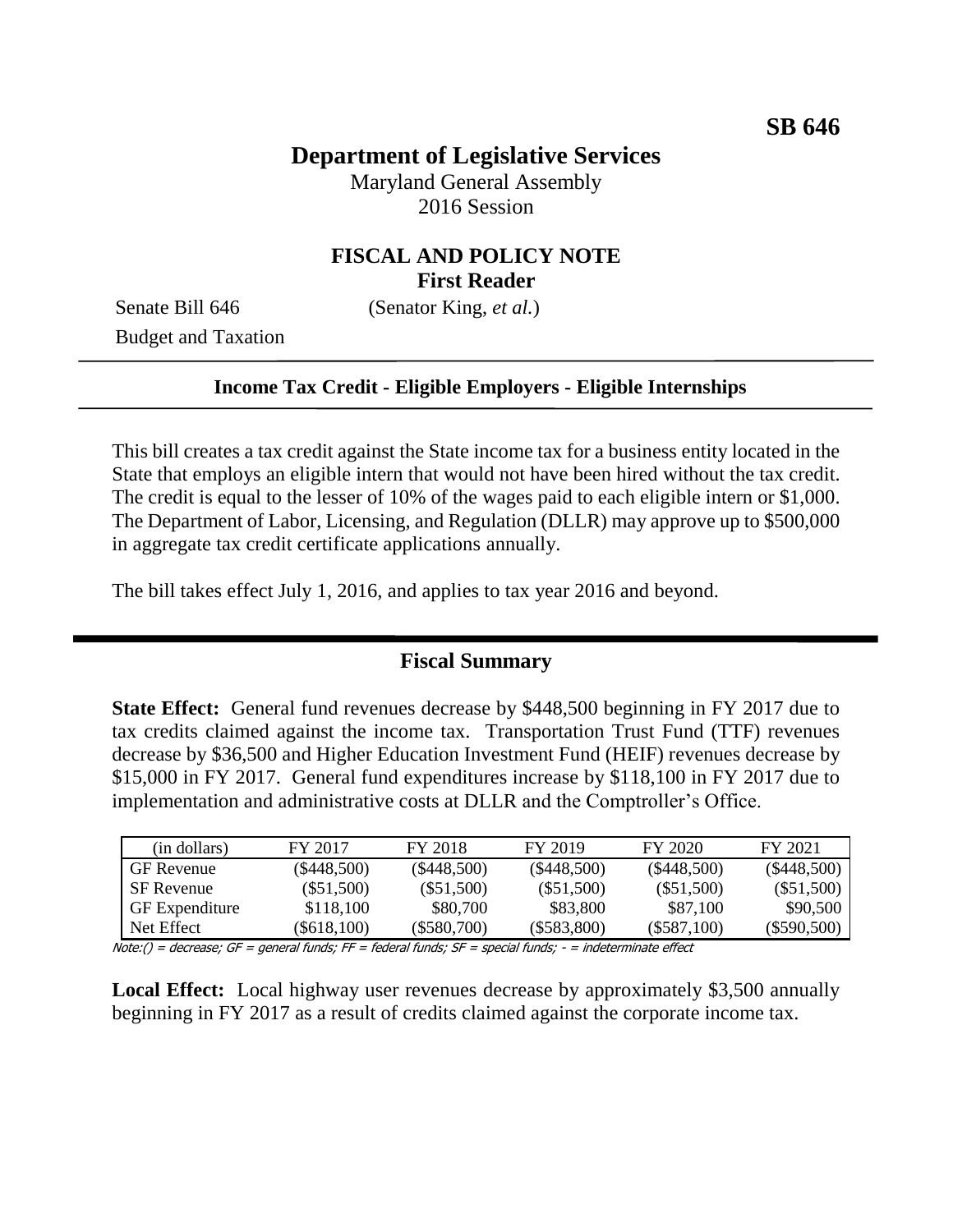# **Department of Legislative Services**

Maryland General Assembly 2016 Session

## **FISCAL AND POLICY NOTE First Reader**

Senate Bill 646 (Senator King, *et al.*)

Budget and Taxation

#### **Income Tax Credit - Eligible Employers - Eligible Internships**

This bill creates a tax credit against the State income tax for a business entity located in the State that employs an eligible intern that would not have been hired without the tax credit. The credit is equal to the lesser of 10% of the wages paid to each eligible intern or \$1,000. The Department of Labor, Licensing, and Regulation (DLLR) may approve up to \$500,000 in aggregate tax credit certificate applications annually.

The bill takes effect July 1, 2016, and applies to tax year 2016 and beyond.

#### **Fiscal Summary**

**State Effect:** General fund revenues decrease by \$448,500 beginning in FY 2017 due to tax credits claimed against the income tax. Transportation Trust Fund (TTF) revenues decrease by \$36,500 and Higher Education Investment Fund (HEIF) revenues decrease by \$15,000 in FY 2017. General fund expenditures increase by \$118,100 in FY 2017 due to implementation and administrative costs at DLLR and the Comptroller's Office.

| (in dollars)          | FY 2017       | FY 2018       | FY 2019       | FY 2020       | FY 2021       |
|-----------------------|---------------|---------------|---------------|---------------|---------------|
| <b>GF</b> Revenue     | $(\$448,500)$ | $(\$448,500)$ | $(\$448,500)$ | $(\$448,500)$ | $(\$448,500)$ |
| <b>SF</b> Revenue     | $(\$51,500)$  | $(\$51,500)$  | $(\$51,500)$  | $(\$51,500)$  | $(\$51,500)$  |
| <b>GF</b> Expenditure | \$118,100     | \$80,700      | \$83,800      | \$87,100      | \$90,500      |
| Net Effect            | $(\$618,100)$ | (S580.700)    | $(\$583,800)$ | (S587.100)    | $(\$590,500)$ |

Note:() = decrease; GF = general funds; FF = federal funds; SF = special funds; - = indeterminate effect

**Local Effect:** Local highway user revenues decrease by approximately \$3,500 annually beginning in FY 2017 as a result of credits claimed against the corporate income tax.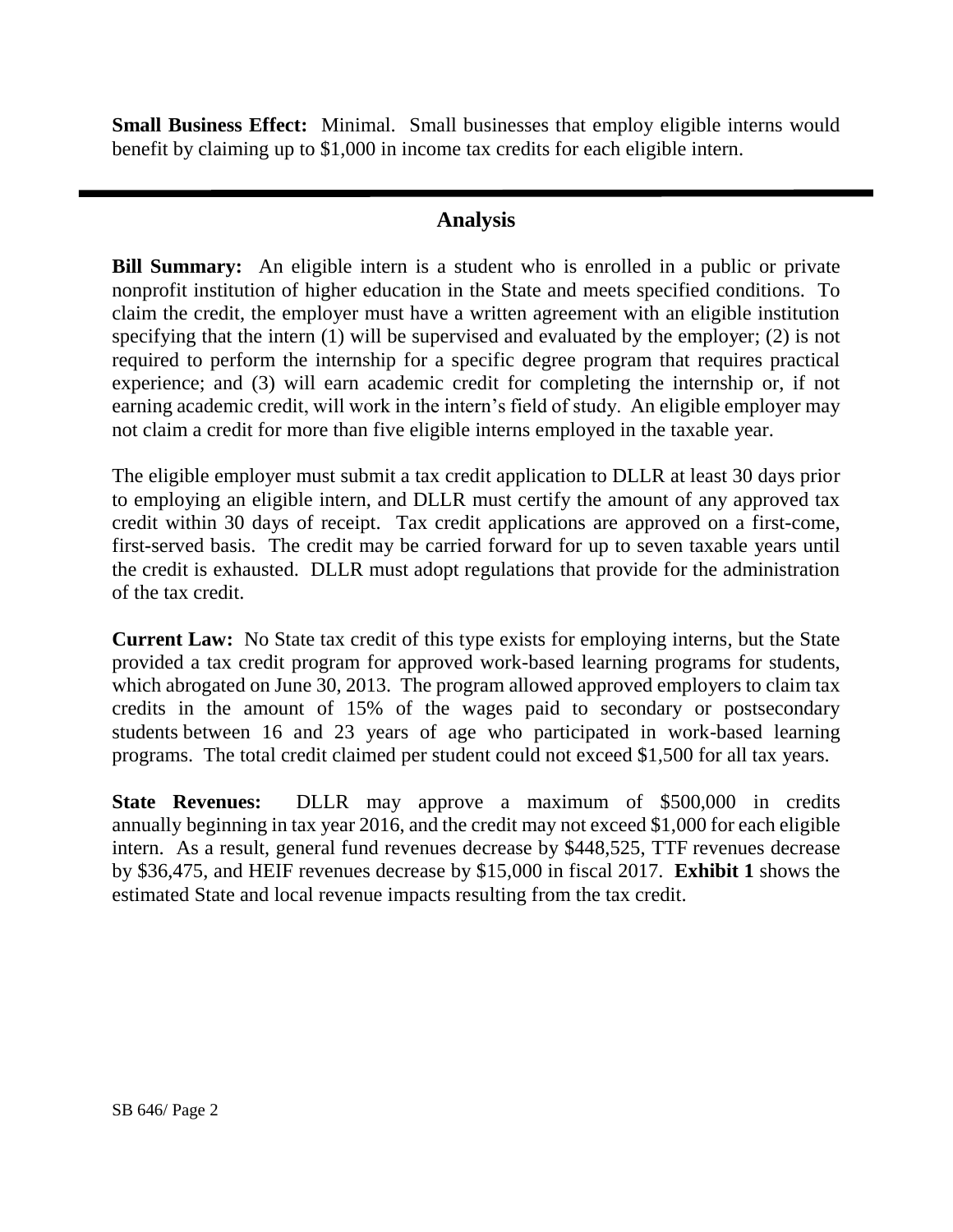**Small Business Effect:** Minimal. Small businesses that employ eligible interns would benefit by claiming up to \$1,000 in income tax credits for each eligible intern.

### **Analysis**

**Bill Summary:** An eligible intern is a student who is enrolled in a public or private nonprofit institution of higher education in the State and meets specified conditions. To claim the credit, the employer must have a written agreement with an eligible institution specifying that the intern (1) will be supervised and evaluated by the employer; (2) is not required to perform the internship for a specific degree program that requires practical experience; and (3) will earn academic credit for completing the internship or, if not earning academic credit, will work in the intern's field of study. An eligible employer may not claim a credit for more than five eligible interns employed in the taxable year.

The eligible employer must submit a tax credit application to DLLR at least 30 days prior to employing an eligible intern, and DLLR must certify the amount of any approved tax credit within 30 days of receipt. Tax credit applications are approved on a first-come, first-served basis. The credit may be carried forward for up to seven taxable years until the credit is exhausted. DLLR must adopt regulations that provide for the administration of the tax credit.

**Current Law:** No State tax credit of this type exists for employing interns, but the State provided a tax credit program for approved work-based learning programs for students, which abrogated on June 30, 2013. The program allowed approved employers to claim tax credits in the amount of 15% of the wages paid to secondary or postsecondary students between 16 and 23 years of age who participated in work-based learning programs. The total credit claimed per student could not exceed \$1,500 for all tax years.

**State Revenues:** DLLR may approve a maximum of \$500,000 in credits annually beginning in tax year 2016, and the credit may not exceed \$1,000 for each eligible intern. As a result, general fund revenues decrease by \$448,525, TTF revenues decrease by \$36,475, and HEIF revenues decrease by \$15,000 in fiscal 2017. **Exhibit 1** shows the estimated State and local revenue impacts resulting from the tax credit.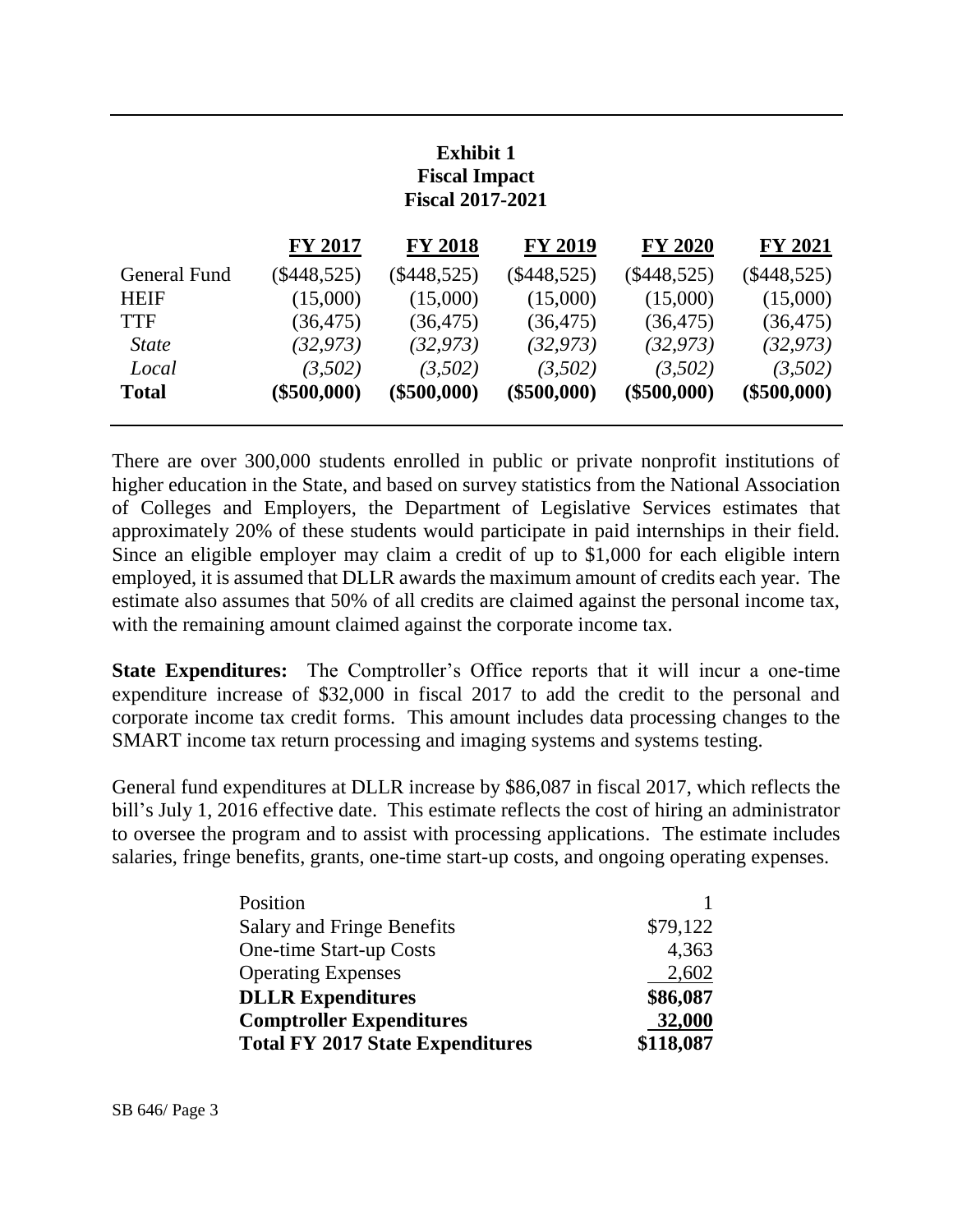# **Exhibit 1 Fiscal Impact Fiscal 2017-2021**

| <b>FY 2017</b> | <b>FY 2018</b> | <b>FY 2019</b> | <b>FY 2020</b> | <b>FY 2021</b> |
|----------------|----------------|----------------|----------------|----------------|
| $(\$448,525)$  | $(\$448,525)$  | $(\$448,525)$  | $(\$448,525)$  | $(\$448,525)$  |
| (15,000)       | (15,000)       | (15,000)       | (15,000)       | (15,000)       |
| (36, 475)      | (36, 475)      | (36, 475)      | (36, 475)      | (36, 475)      |
| (32, 973)      | (32, 973)      | (32, 973)      | (32, 973)      | (32, 973)      |
| (3,502)        | (3,502)        | (3,502)        | (3,502)        | (3,502)        |
| $(\$500,000)$  | $(\$500,000)$  | $(\$500,000)$  | $(\$500,000)$  | $(\$500,000)$  |
|                |                |                |                |                |

There are over 300,000 students enrolled in public or private nonprofit institutions of higher education in the State, and based on survey statistics from the National Association of Colleges and Employers, the Department of Legislative Services estimates that approximately 20% of these students would participate in paid internships in their field. Since an eligible employer may claim a credit of up to \$1,000 for each eligible intern employed, it is assumed that DLLR awards the maximum amount of credits each year. The estimate also assumes that 50% of all credits are claimed against the personal income tax, with the remaining amount claimed against the corporate income tax.

**State Expenditures:** The Comptroller's Office reports that it will incur a one-time expenditure increase of \$32,000 in fiscal 2017 to add the credit to the personal and corporate income tax credit forms. This amount includes data processing changes to the SMART income tax return processing and imaging systems and systems testing.

General fund expenditures at DLLR increase by \$86,087 in fiscal 2017, which reflects the bill's July 1, 2016 effective date. This estimate reflects the cost of hiring an administrator to oversee the program and to assist with processing applications. The estimate includes salaries, fringe benefits, grants, one-time start-up costs, and ongoing operating expenses.

| Position                                |           |
|-----------------------------------------|-----------|
| <b>Salary and Fringe Benefits</b>       | \$79,122  |
| One-time Start-up Costs                 | 4,363     |
| <b>Operating Expenses</b>               | 2,602     |
| <b>DLLR</b> Expenditures                | \$86,087  |
| <b>Comptroller Expenditures</b>         | 32,000    |
| <b>Total FY 2017 State Expenditures</b> | \$118,087 |